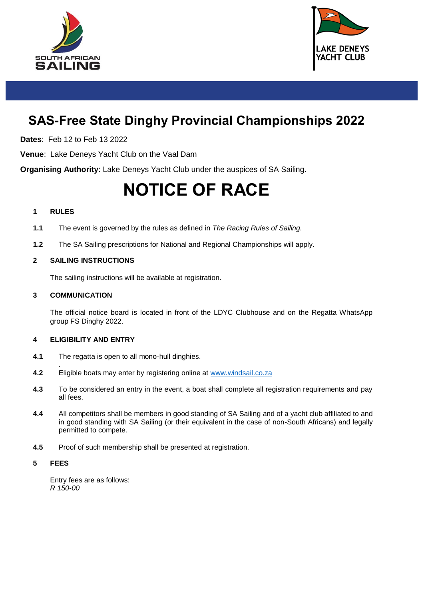



# **SAS-Free State Dinghy Provincial Championships 2022**

**Dates**: Feb 12 to Feb 13 2022

**Venue**: Lake Deneys Yacht Club on the Vaal Dam

**Organising Authority**: Lake Deneys Yacht Club under the auspices of SA Sailing.

# **NOTICE OF RACE**

#### **1 RULES**

- **1.1** The event is governed by the rules as defined in *The Racing Rules of Sailing.*
- **1.2** The SA Sailing prescriptions for National and Regional Championships will apply.

# **2 SAILING INSTRUCTIONS**

The sailing instructions will be available at registration.

#### **3 COMMUNICATION**

The official notice board is located in front of the LDYC Clubhouse and on the Regatta WhatsApp group FS Dinghy 2022.

#### **4 ELIGIBILITY AND ENTRY**

- **4.1** The regatta is open to all mono-hull dinghies.
- . **4.2** Eligible boats may enter by registering online at [www.windsail.co.za](http://www.windsail.co.za/)
- **4.3** To be considered an entry in the event, a boat shall complete all registration requirements and pay all fees.
- **4.4** All competitors shall be members in good standing of SA Sailing and of a yacht club affiliated to and in good standing with SA Sailing (or their equivalent in the case of non-South Africans) and legally permitted to compete.
- **4.5** Proof of such membership shall be presented at registration.

#### **5 FEES**

Entry fees are as follows: *R 150-00*